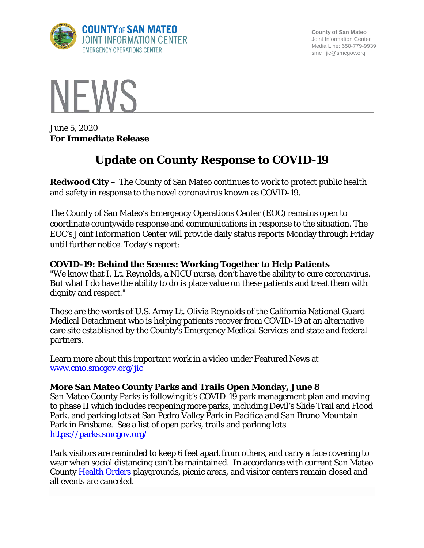

**County of San Mateo** Joint Information Center Media Line: 650-779-9939 smc\_ jic@smcgov.org



June 5, 2020 **For Immediate Release**

# **Update on County Response to COVID-19**

**Redwood City –** The County of San Mateo continues to work to protect public health and safety in response to the novel coronavirus known as COVID-19.

The County of San Mateo's Emergency Operations Center (EOC) remains open to coordinate countywide response and communications in response to the situation. The EOC's Joint Information Center will provide daily status reports Monday through Friday until further notice. Today's report:

#### **COVID-19: Behind the Scenes: Working Together to Help Patients**

"We know that I, Lt. Reynolds, a NICU nurse, don't have the ability to cure coronavirus. But what I do have the ability to do is place value on these patients and treat them with dignity and respect."

Those are the words of U.S. Army Lt. Olivia Reynolds of the California National Guard Medical Detachment who is helping patients recover from COVID-19 at an alternative care site established by the County's Emergency Medical Services and state and federal partners.

Learn more about this important work in a video under Featured News at [www.cmo.smcgov.org/jic](http://www.cmo.smcgov.org/jic)

#### **More San Mateo County Parks and Trails Open Monday, June 8**

San Mateo County Parks is following it's COVID-19 park management plan and moving to phase II which includes reopening more parks, including Devil's Slide Trail and Flood Park, and parking lots at San Pedro Valley Park in Pacifica and San Bruno Mountain Park in Brisbane. See a list of open parks, trails and parking lots <https://parks.smcgov.org/>

Park visitors are reminded to keep 6 feet apart from others, and carry a face covering to wear when social distancing can't be maintained. In accordance with current San Mateo County [Health Orders](https://www.smchealth.org/health-officer-statements-and-orders) playgrounds, picnic areas, and visitor centers remain closed and all events are canceled.